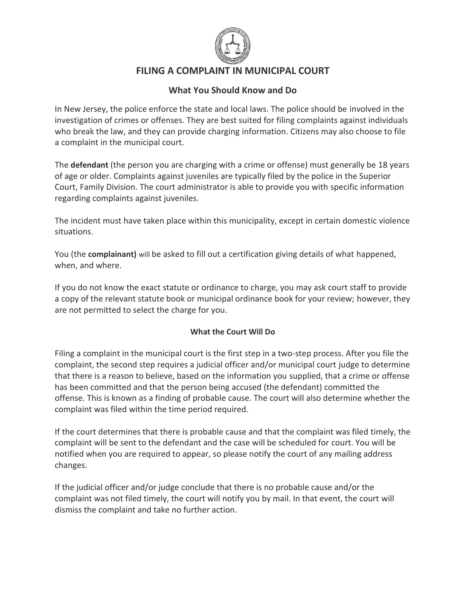

# **FILING A COMPLAINT IN MUNICIPAL COURT**

# **What You Should Know and Do**

In New Jersey, the police enforce the state and local laws. The police should be involved in the investigation of crimes or offenses. They are best suited for filing complaints against individuals who break the law, and they can provide charging information. Citizens may also choose to file a complaint in the municipal court.

The **defendant** (the person you are charging with a crime or offense) must generally be 18 years of age or older. Complaints against juveniles are typically filed by the police in the Superior Court, Family Division. The court administrator is able to provide you with specific information regarding complaints against juveniles.

The incident must have taken place within this municipality, except in certain domestic violence situations.

You (the **complainant)** will be asked to fill out a certification giving details of what happened, when, and where.

If you do not know the exact statute or ordinance to charge, you may ask court staff to provide a copy of the relevant statute book or municipal ordinance book for your review; however, they are not permitted to select the charge for you.

#### **What the Court Will Do**

Filing a complaint in the municipal court is the first step in a two-step process. After you file the complaint, the second step requires a judicial officer and/or municipal court judge to determine that there is a reason to believe, based on the information you supplied, that a crime or offense has been committed and that the person being accused (the defendant) committed the offense. This is known as a finding of probable cause. The court will also determine whether the complaint was filed within the time period required.

If the court determines that there is probable cause and that the complaint was filed timely, the complaint will be sent to the defendant and the case will be scheduled for court. You will be notified when you are required to appear, so please notify the court of any mailing address changes.

If the judicial officer and/or judge conclude that there is no probable cause and/or the complaint was not filed timely, the court will notify you by mail. In that event, the court will dismiss the complaint and take no further action.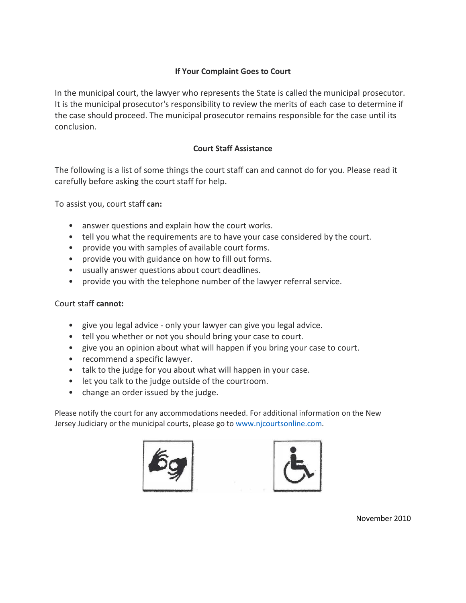### **If Your Complaint Goes to Court**

In the municipal court, the lawyer who represents the State is called the municipal prosecutor. It is the municipal prosecutor's responsibility to review the merits of each case to determine if the case should proceed. The municipal prosecutor remains responsible for the case until its conclusion.

#### **Court Staff Assistance**

The following is a list of some things the court staff can and cannot do for you. Please read it carefully before asking the court staff for help.

To assist you, court staff **can:**

- answer questions and explain how the court works.
- tell you what the requirements are to have your case considered by the court.
- provide you with samples of available court forms.
- provide you with guidance on how to fill out forms.
- usually answer questions about court deadlines.
- provide you with the telephone number of the lawyer referral service.

#### Court staff **cannot:**

- give you legal advice only your lawyer can give you legal advice.
- tell you whether or not you should bring your case to court.
- give you an opinion about what will happen if you bring your case to court.
- recommend a specific lawyer.
- talk to the judge for you about what will happen in your case.
- let you talk to the judge outside of the courtroom.
- change an order issued by the judge.

Please notify the court for any accommodations needed. For additional information on the New Jersey Judiciary or the municipal courts, please go to www.nj[courtsonline.com.](http://www.nicourtsonline.com/)





November 2010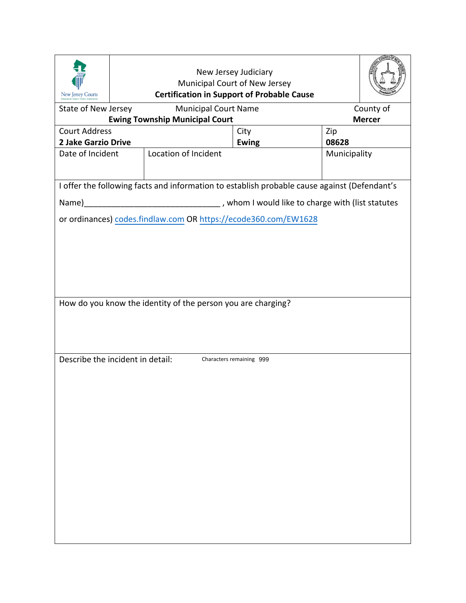| New Jersey Courts                                                                            |  |                                                                 |                            |              |  |  |  |  |  |
|----------------------------------------------------------------------------------------------|--|-----------------------------------------------------------------|----------------------------|--------------|--|--|--|--|--|
| State of New Jersey                                                                          |  | <b>Municipal Court Name</b>                                     | County of<br><b>Mercer</b> |              |  |  |  |  |  |
| <b>Court Address</b>                                                                         |  | <b>Ewing Township Municipal Court</b>                           | City                       | Zip          |  |  |  |  |  |
| 2 Jake Garzio Drive                                                                          |  |                                                                 | <b>Ewing</b>               | 08628        |  |  |  |  |  |
| Date of Incident                                                                             |  | Location of Incident                                            |                            | Municipality |  |  |  |  |  |
| I offer the following facts and information to establish probable cause against (Defendant's |  |                                                                 |                            |              |  |  |  |  |  |
|                                                                                              |  |                                                                 |                            |              |  |  |  |  |  |
|                                                                                              |  | or ordinances) codes.findlaw.com OR https://ecode360.com/EW1628 |                            |              |  |  |  |  |  |
| How do you know the identity of the person you are charging?                                 |  |                                                                 |                            |              |  |  |  |  |  |
| Describe the incident in detail:                                                             |  |                                                                 | Characters remaining 999   |              |  |  |  |  |  |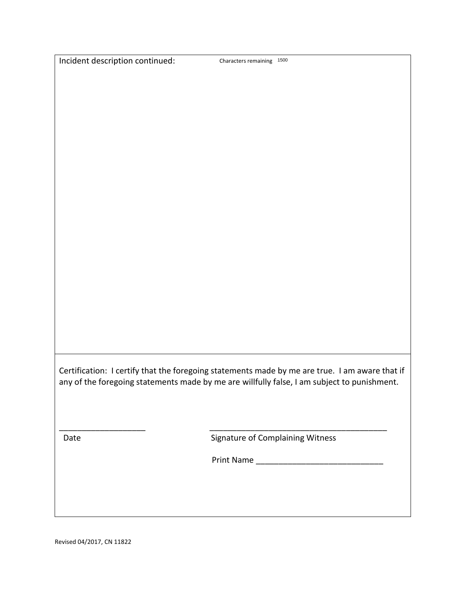Characters remaining 1500

Certification: I certify that the foregoing statements made by me are true. I am aware that if any of the foregoing statements made by me are willfully false, I am subject to punishment.

Date **Signature of Complaining Witness** 

Print Name \_\_\_\_\_\_\_\_\_\_\_\_\_\_\_\_\_\_\_\_\_\_\_\_\_\_\_\_

\_\_\_\_\_\_\_\_\_\_\_\_\_\_\_\_\_\_\_ \_\_\_\_\_\_\_\_\_\_\_\_\_\_\_\_\_\_\_\_\_\_\_\_\_\_\_\_\_\_\_\_\_\_\_\_\_\_\_

Revised 04/2017, CN 11822